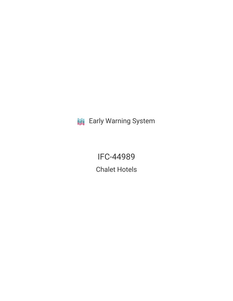**III** Early Warning System

IFC-44989 Chalet Hotels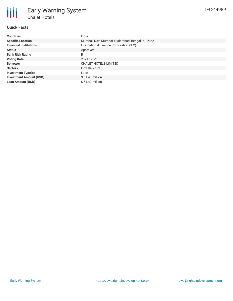## **Quick Facts**

冊

| <b>Countries</b>               | India                                           |
|--------------------------------|-------------------------------------------------|
| <b>Specific Location</b>       | Mumbai, Navi Mumbai, Hyderabad, Bengaluru, Pune |
| <b>Financial Institutions</b>  | International Finance Corporation (IFC)         |
| <b>Status</b>                  | Approved                                        |
| <b>Bank Risk Rating</b>        | B                                               |
| <b>Voting Date</b>             | 2021-12-22                                      |
| <b>Borrower</b>                | <b>CHALET HOTELS LIMITED</b>                    |
| <b>Sectors</b>                 | Infrastructure                                  |
| Investment Type(s)             | Loan                                            |
| <b>Investment Amount (USD)</b> | $$51.40$ million                                |
| <b>Loan Amount (USD)</b>       | $$51.40$ million                                |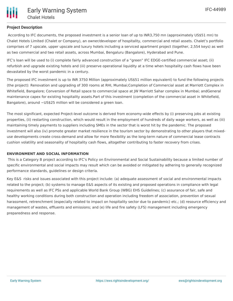## **Project Description**

According to IFC documents, the proposed investment is a senior loan of up to INR3,750 mn (approximately US\$51 mn) to Chalet Hotels Limited (Chalet or Company), an owner/developer of hospitality, commercial and retail assets. Chalet's portfolio comprises of 7 upscale, upper upscale and luxury hotels including a serviced apartment project (together, 2,554 keys) as well as two commercial and two retail assets, across Mumbai, Bengaluru (Bangalore), Hyderabad and Pune.

IFC's loan will be used to (i) complete fairly advanced construction of a "green" IFC EDGE-certified commercial asset; (ii) refurbish and upgrade existing hotels and (iii) preserve operational liquidity at a time when hospitality cash flows have been devastated by the worst pandemic in a century.

The proposed IFC investment is up to INR 3750 Million (approximately US\$51 million equivalent) to fund the following projects (the project): Renovation and upgrading of 300 rooms at RHI, Mumbai;Completion of Commercial asset at Marriott Complex in Whitefield, Bangalore; Conversion of Retail space to commercial space at JW Marriott Sahar complex in Mumbai; andGeneral maintenance capex for existing hospitality assets.Part of this investment (completion of the commercial asset in Whitefield, Bangalore), around ~US\$25 million will be considered a green loan.

The most significant, expected Project-level outcome is derived from economy-wide effects by (i) preserving jobs at existing properties, (ii) restarting construction, which would result in the employment of hundreds of daily wage workers, as well as (iii) maintaining timely payments to suppliers including SMEs in the sector that is worst hit by the pandemic. The proposed investment will also (iv) promote greater market resilience in the tourism sector by demonstrating to other players that mixeduse developments create cross-demand and allow for more flexibility as the long-term nature of commercial lease contracts cushion volatility and seasonality of hospitality cash flows, altogether contributing to faster recovery from crises.

### **ENVIRONMENT AND SOCIAL INFORMATION**

This is a Category B project according to IFC's Policy on Environmental and Social Sustainability because a limited number of specific environmental and social impacts may result which can be avoided or mitigated by adhering to generally recognized performance standards, guidelines or design criteria.

Key E&S risks and issues associated with this project include: (a) adequate assessment of social and environmental impacts related to the project; (b) systems to manage E&S aspects of its existing and proposed operations in compliance with legal requirements as well as IFC PSs and applicable World Bank Group (WBG) EHS Guidelines; (c) assurance of fair, safe and healthy working conditions during both construction and operation including freedom of association, prevention of sexual harassment, retrenchment (especially related to impact on hospitality sector due to pandemic) etc.; (d) resource efficiency and management of wastes, effluents and emissions; and (e) life and fire safety (LFS) management including emergency preparedness and response.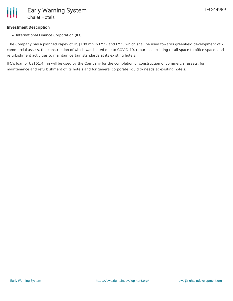## **Investment Description**

• International Finance Corporation (IFC)

The Company has a planned capex of US\$109 mn in FY22 and FY23 which shall be used towards greenfield development of 2 commercial assets, the construction of which was halted due to COVID-19, repurpose existing retail space to office space, and refurbishment activities to maintain certain standards at its existing hotels.

IFC's loan of US\$51.4 mn will be used by the Company for the completion of construction of commercial assets, for maintenance and refurbishment of its hotels and for general corporate liquidity needs at existing hotels.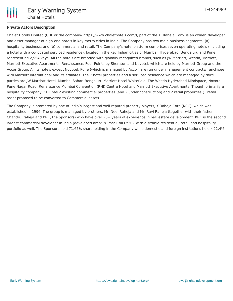IFC-44989

# **Private Actors Description**

Chalet Hotels Limited (CHL or the company- https://www.chalethotels.com/), part of the K. Raheja Corp, is an owner, developer and asset manager of high-end hotels in key metro cities in India. The Company has two main business segments: (a) hospitality business; and (b) commercial and retail. The Company's hotel platform comprises seven operating hotels (including a hotel with a co-located serviced residence), located in the key Indian cities of Mumbai, Hyderabad, Bengaluru and Pune representing 2,554 keys. All the hotels are branded with globally recognized brands, such as JW Marriott, Westin, Marriott, Marriott Executive Apartments, Renaissance, Four Points by Sheraton and Novotel, which are held by Marriott Group and the Accor Group. All its hotels except Novotel, Pune (which is managed by Accor) are run under management contracts/franchisee with Marriott International and its affiliates. The 7 hotel properties and a serviced residence which are managed by third parties are JW Marriott Hotel, Mumbai Sahar, Bengaluru Marriott Hotel Whitefield, The Westin Hyderabad Mindspace, Novotel Pune Nagar Road, Renaissance Mumbai Convention (RHI) Centre Hotel and Marriott Executive Apartments. Though primarily a hospitality company, CHL has 2 existing commercial properties (and 2 under construction) and 2 retail properties (1 retail asset proposed to be converted to Commercial asset).

The Company is promoted by one of India's largest and well-reputed property players, K Raheja Corp (KRC), which was established in 1996. The group is managed by brothers, Mr. Neel Raheja and Mr. Ravi Raheja (together with their father Chandru Raheja and KRC, the Sponsors) who have over 20+ years of experience in real estate development. KRC is the second largest commercial developer in India (developed area: 28 msf+ till FY20), with a sizable residential, retail and hospitality portfolio as well. The Sponsors hold 71.65% shareholding in the Company while domestic and foreign institutions hold  $\sim$ 22.4%.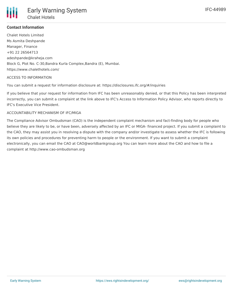

## **Contact Information**

Chalet Hotels Limited Ms Asmita Deshpande Manager, Finance +91 22 26564713 adeshpande@kraheja.com Block G, Plot No. C-30,Bandra Kurla Complex,Bandra (E), Mumbai. https://www.chalethotels.com/

### ACCESS TO INFORMATION

You can submit a request for information disclosure at: https://disclosures.ifc.org/#/inquiries

If you believe that your request for information from IFC has been unreasonably denied, or that this Policy has been interpreted incorrectly, you can submit a complaint at the link above to IFC's Access to Information Policy Advisor, who reports directly to IFC's Executive Vice President.

### ACCOUNTABILITY MECHANISM OF IFC/MIGA

The Compliance Advisor Ombudsman (CAO) is the independent complaint mechanism and fact-finding body for people who believe they are likely to be, or have been, adversely affected by an IFC or MIGA- financed project. If you submit a complaint to the CAO, they may assist you in resolving a dispute with the company and/or investigate to assess whether the IFC is following its own policies and procedures for preventing harm to people or the environment. If you want to submit a complaint electronically, you can email the CAO at CAO@worldbankgroup.org You can learn more about the CAO and how to file a complaint at http://www.cao-ombudsman.org